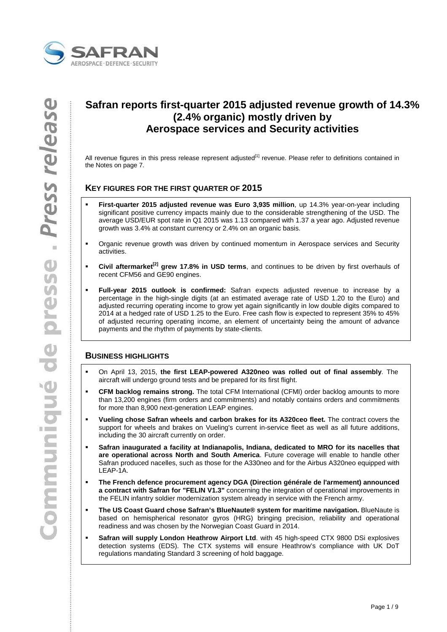

# **Safran reports first-quarter 2015 adjusted revenue growth of 14.3% (2.4% organic) mostly driven by Aerospace services and Security activities**

All revenue figures in this press release represent adjusted<sup>[1]</sup> revenue. Please refer to definitions contained in the Notes on page 7.

## **KEY FIGURES FOR THE FIRST QUARTER OF 2015**

- **First-quarter 2015 adjusted revenue was Euro 3,935 million**, up 14.3% year-on-year including significant positive currency impacts mainly due to the considerable strengthening of the USD. The average USD/EUR spot rate in Q1 2015 was 1.13 compared with 1.37 a year ago. Adjusted revenue growth was 3.4% at constant currency or 2.4% on an organic basis.
- Organic revenue growth was driven by continued momentum in Aerospace services and Security activities.
- **Civil aftermarket[2] grew 17.8% in USD terms**, and continues to be driven by first overhauls of recent CFM56 and GE90 engines.
- **Full-year 2015 outlook is confirmed:** Safran expects adjusted revenue to increase by a percentage in the high-single digits (at an estimated average rate of USD 1.20 to the Euro) and adjusted recurring operating income to grow yet again significantly in low double digits compared to 2014 at a hedged rate of USD 1.25 to the Euro. Free cash flow is expected to represent 35% to 45% of adjusted recurring operating income, an element of uncertainty being the amount of advance payments and the rhythm of payments by state-clients.

## **BUSINESS HIGHLIGHTS**

- On April 13, 2015, **the first LEAP-powered A320neo was rolled out of final assembly**. The aircraft will undergo ground tests and be prepared for its first flight.
- **CFM backlog remains strong.** The total CFM International (CFMI) order backlog amounts to more than 13,200 engines (firm orders and commitments) and notably contains orders and commitments for more than 8,900 next-generation LEAP engines.
- **Vueling chose Safran wheels and carbon brakes for its A320ceo fleet.** The contract covers the support for wheels and brakes on Vueling's current in-service fleet as well as all future additions, including the 30 aircraft currently on order.
- **Safran inaugurated a facility at Indianapolis, Indiana, dedicated to MRO for its nacelles that are operational across North and South America**. Future coverage will enable to handle other Safran produced nacelles, such as those for the A330neo and for the Airbus A320neo equipped with LEAP-1A.
- **The French defence procurement agency DGA (Direction générale de l'armement) announced a contract with Safran for "FELIN V1.3"** concerning the integration of operational improvements in the FELIN infantry soldier modernization system already in service with the French army.
- **The US Coast Guard chose Safran's BlueNaute® system for maritime navigation.** BlueNaute is based on hemispherical resonator gyros (HRG) bringing precision, reliability and operational readiness and was chosen by the Norwegian Coast Guard in 2014.
- **Safran will supply London Heathrow Airport Ltd**. with 45 high-speed CTX 9800 DSi explosives detection systems (EDS). The CTX systems will ensure Heathrow's compliance with UK DoT regulations mandating Standard 3 screening of hold baggage.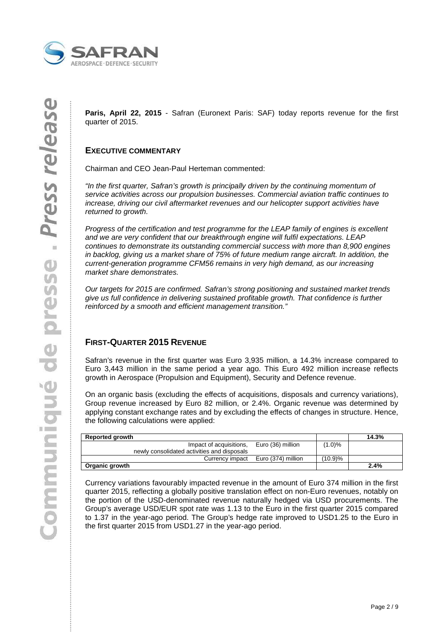

**Paris, April 22, 2015** - Safran (Euronext Paris: SAF) today reports revenue for the first quarter of 2015.

## **EXECUTIVE COMMENTARY**

Chairman and CEO Jean-Paul Herteman commented:

"In the first quarter, Safran's growth is principally driven by the continuing momentum of service activities across our propulsion businesses. Commercial aviation traffic continues to increase, driving our civil aftermarket revenues and our helicopter support activities have returned to growth.

Progress of the certification and test programme for the LEAP family of engines is excellent and we are very confident that our breakthrough engine will fulfil expectations. LEAP continues to demonstrate its outstanding commercial success with more than 8,900 engines in backlog, giving us a market share of 75% of future medium range aircraft. In addition, the current-generation programme CFM56 remains in very high demand, as our increasing market share demonstrates.

Our targets for 2015 are confirmed. Safran's strong positioning and sustained market trends give us full confidence in delivering sustained profitable growth. That confidence is further reinforced by a smooth and efficient management transition."

## **FIRST-QUARTER 2015 REVENUE**

Safran's revenue in the first quarter was Euro 3,935 million, a 14.3% increase compared to Euro 3,443 million in the same period a year ago. This Euro 492 million increase reflects growth in Aerospace (Propulsion and Equipment), Security and Defence revenue.

On an organic basis (excluding the effects of acquisitions, disposals and currency variations), Group revenue increased by Euro 82 million, or 2.4%. Organic revenue was determined by applying constant exchange rates and by excluding the effects of changes in structure. Hence, the following calculations were applied:

| <b>Reported growth</b>                       |         | 14.3% |
|----------------------------------------------|---------|-------|
| Euro (36) million<br>Impact of acquisitions. | (1.0)%  |       |
| newly consolidated activities and disposals  |         |       |
| Currency impact Euro (374) million           | (10.9)% |       |
| Organic growth                               |         | 2.4%  |

Currency variations favourably impacted revenue in the amount of Euro 374 million in the first quarter 2015, reflecting a globally positive translation effect on non-Euro revenues, notably on the portion of the USD-denominated revenue naturally hedged via USD procurements. The Group's average USD/EUR spot rate was 1.13 to the Euro in the first quarter 2015 compared to 1.37 in the year-ago period. The Group's hedge rate improved to USD1.25 to the Euro in the first quarter 2015 from USD1.27 in the year-ago period.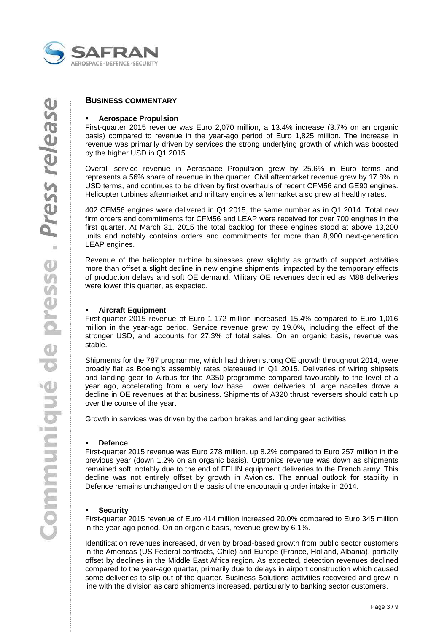

#### **Aerospace Propulsion**

First-quarter 2015 revenue was Euro 2,070 million, a 13.4% increase (3.7% on an organic basis) compared to revenue in the year-ago period of Euro 1,825 million. The increase in revenue was primarily driven by services the strong underlying growth of which was boosted by the higher USD in Q1 2015.

Overall service revenue in Aerospace Propulsion grew by 25.6% in Euro terms and represents a 56% share of revenue in the quarter. Civil aftermarket revenue grew by 17.8% in USD terms, and continues to be driven by first overhauls of recent CFM56 and GE90 engines. Helicopter turbines aftermarket and military engines aftermarket also grew at healthy rates.

402 CFM56 engines were delivered in Q1 2015, the same number as in Q1 2014. Total new firm orders and commitments for CFM56 and LEAP were received for over 700 engines in the first quarter. At March 31, 2015 the total backlog for these engines stood at above 13,200 units and notably contains orders and commitments for more than 8,900 next-generation LEAP engines.

Revenue of the helicopter turbine businesses grew slightly as growth of support activities more than offset a slight decline in new engine shipments, impacted by the temporary effects of production delays and soft OE demand. Military OE revenues declined as M88 deliveries were lower this quarter, as expected.

#### **Aircraft Equipment**

First-quarter 2015 revenue of Euro 1,172 million increased 15.4% compared to Euro 1,016 million in the year-ago period. Service revenue grew by 19.0%, including the effect of the stronger USD, and accounts for 27.3% of total sales. On an organic basis, revenue was stable.

Shipments for the 787 programme, which had driven strong OE growth throughout 2014, were broadly flat as Boeing's assembly rates plateaued in Q1 2015. Deliveries of wiring shipsets and landing gear to Airbus for the A350 programme compared favourably to the level of a year ago, accelerating from a very low base. Lower deliveries of large nacelles drove a decline in OE revenues at that business. Shipments of A320 thrust reversers should catch up over the course of the year.

Growth in services was driven by the carbon brakes and landing gear activities.

#### **Defence**

First-quarter 2015 revenue was Euro 278 million, up 8.2% compared to Euro 257 million in the previous year (down 1.2% on an organic basis). Optronics revenue was down as shipments remained soft, notably due to the end of FELIN equipment deliveries to the French army. This decline was not entirely offset by growth in Avionics. The annual outlook for stability in Defence remains unchanged on the basis of the encouraging order intake in 2014.

#### **Security**

First-quarter 2015 revenue of Euro 414 million increased 20.0% compared to Euro 345 million in the year-ago period. On an organic basis, revenue grew by 6.1%.

Identification revenues increased, driven by broad-based growth from public sector customers in the Americas (US Federal contracts, Chile) and Europe (France, Holland, Albania), partially offset by declines in the Middle East Africa region. As expected, detection revenues declined compared to the year-ago quarter, primarily due to delays in airport construction which caused some deliveries to slip out of the quarter. Business Solutions activities recovered and grew in line with the division as card shipments increased, particularly to banking sector customers.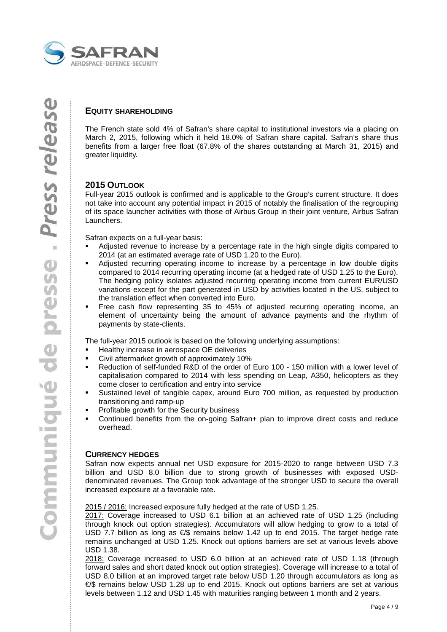

The French state sold 4% of Safran's share capital to institutional investors via a placing on March 2, 2015, following which it held 18.0% of Safran share capital. Safran's share thus benefits from a larger free float (67.8% of the shares outstanding at March 31, 2015) and greater liquidity.

## **2015 OUTLOOK**

Full-year 2015 outlook is confirmed and is applicable to the Group's current structure. It does not take into account any potential impact in 2015 of notably the finalisation of the regrouping of its space launcher activities with those of Airbus Group in their joint venture, Airbus Safran Launchers.

Safran expects on a full-year basis:

- Adjusted revenue to increase by a percentage rate in the high single digits compared to 2014 (at an estimated average rate of USD 1.20 to the Euro).
- Adjusted recurring operating income to increase by a percentage in low double digits compared to 2014 recurring operating income (at a hedged rate of USD 1.25 to the Euro). The hedging policy isolates adjusted recurring operating income from current EUR/USD variations except for the part generated in USD by activities located in the US, subject to the translation effect when converted into Euro.
- Free cash flow representing 35 to 45% of adjusted recurring operating income, an element of uncertainty being the amount of advance payments and the rhythm of payments by state-clients.

The full-year 2015 outlook is based on the following underlying assumptions:

- Healthy increase in aerospace OE deliveries
- Civil aftermarket growth of approximately 10%
- Reduction of self-funded R&D of the order of Euro 100 150 million with a lower level of capitalisation compared to 2014 with less spending on Leap, A350, helicopters as they come closer to certification and entry into service
- Sustained level of tangible capex, around Euro 700 million, as requested by production transitioning and ramp-up
- Profitable growth for the Security business
- Continued benefits from the on-going Safran+ plan to improve direct costs and reduce overhead.

## **CURRENCY HEDGES**

Safran now expects annual net USD exposure for 2015-2020 to range between USD 7.3 billion and USD 8.0 billion due to strong growth of businesses with exposed USDdenominated revenues. The Group took advantage of the stronger USD to secure the overall increased exposure at a favorable rate.

2015 / 2016: Increased exposure fully hedged at the rate of USD 1.25.

2017: Coverage increased to USD 6.1 billion at an achieved rate of USD 1.25 (including through knock out option strategies). Accumulators will allow hedging to grow to a total of USD 7.7 billion as long as €/\$ remains below 1.42 up to end 2015. The target hedge rate remains unchanged at USD 1.25. Knock out options barriers are set at various levels above USD 1.38.

2018: Coverage increased to USD 6.0 billion at an achieved rate of USD 1.18 (through forward sales and short dated knock out option strategies). Coverage will increase to a total of USD 8.0 billion at an improved target rate below USD 1.20 through accumulators as long as €/\$ remains below USD 1.28 up to end 2015. Knock out options barriers are set at various levels between 1.12 and USD 1.45 with maturities ranging between 1 month and 2 years.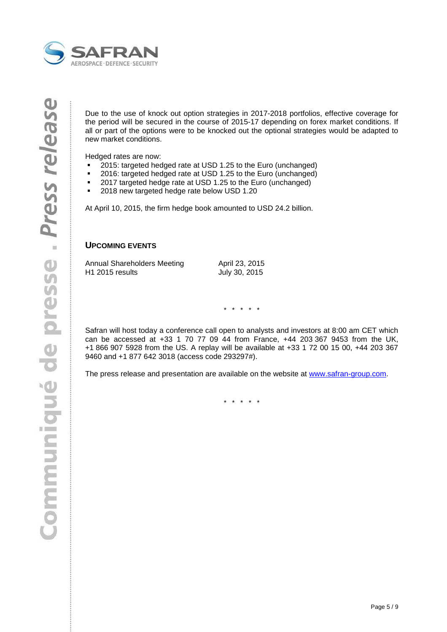

Due to the use of knock out option strategies in 2017-2018 portfolios, effective coverage for the period will be secured in the course of 2015-17 depending on forex market conditions. If all or part of the options were to be knocked out the optional strategies would be adapted to new market conditions.

Hedged rates are now:

- 2015: targeted hedged rate at USD 1.25 to the Euro (unchanged)
- 2016: targeted hedged rate at USD 1.25 to the Euro (unchanged)
- 2017 targeted hedge rate at USD 1.25 to the Euro (unchanged)
- **2018 new targeted hedge rate below USD 1.20**

At April 10, 2015, the firm hedge book amounted to USD 24.2 billion.

## **UPCOMING EVENTS**

| Annual Shareholders Meeting | April 23, 2015 |
|-----------------------------|----------------|
| H <sub>1</sub> 2015 results | July 30, 2015  |

\* \* \* \* \*

Safran will host today a conference call open to analysts and investors at 8:00 am CET which can be accessed at +33 1 70 77 09 44 from France, +44 203 367 9453 from the UK, +1 866 907 5928 from the US. A replay will be available at +33 1 72 00 15 00, +44 203 367 9460 and +1 877 642 3018 (access code 293297#).

The press release and presentation are available on the website at www.safran-group.com.

\* \* \* \* \*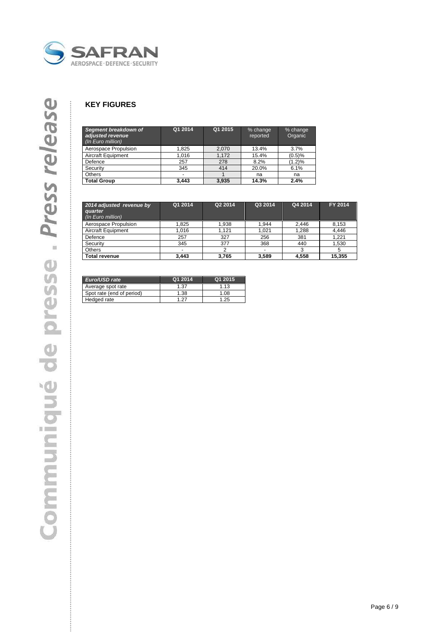

## **KEY FIGURES**

| Segment breakdown of<br>adjusted revenue<br>(In Euro million) | Q1 2014 | Q1 2015 | % change<br>reported | % change<br>Organic |
|---------------------------------------------------------------|---------|---------|----------------------|---------------------|
| Aerospace Propulsion                                          | 1.825   | 2.070   | 13.4%                | 3.7%                |
| <b>Aircraft Equipment</b>                                     | 1.016   | 1.172   | 15.4%                | (0.5)%              |
| Defence                                                       | 257     | 278     | 8.2%                 | (1.2)%              |
| Security                                                      | 345     | 414     | 20.0%                | 6.1%                |
| Others                                                        | ٠       |         | na                   | na                  |
| <b>Total Group</b>                                            | 3.443   | 3.935   | 14.3%                | 2.4%                |

| 2014 adjusted revenue by<br>quarter<br>(In Euro million) | Q1 2014 | Q2 2014 | Q3 2014 | Q4 2014 | FY 2014 |
|----------------------------------------------------------|---------|---------|---------|---------|---------|
| Aerospace Propulsion                                     | 1.825   | 1,938   | 1,944   | 2.446   | 8,153   |
| <b>Aircraft Equipment</b>                                | 1.016   | 1.121   | 1.021   | 1.288   | 4.446   |
| Defence                                                  | 257     | 327     | 256     | 381     | 1.221   |
| Security                                                 | 345     | 377     | 368     | 440     | 1,530   |
| Others                                                   |         |         |         |         |         |
| Total revenue                                            | 3.443   | 3.765   | 3,589   | 4.558   | 15,355  |

| Euro/USD rate             | Q1 2014 | Q1 2015 |
|---------------------------|---------|---------|
| Average spot rate         | $+37$   | 1 13    |
| Spot rate (end of period) | 1.38    | .08     |
| Hedged rate               | - 27    | 25      |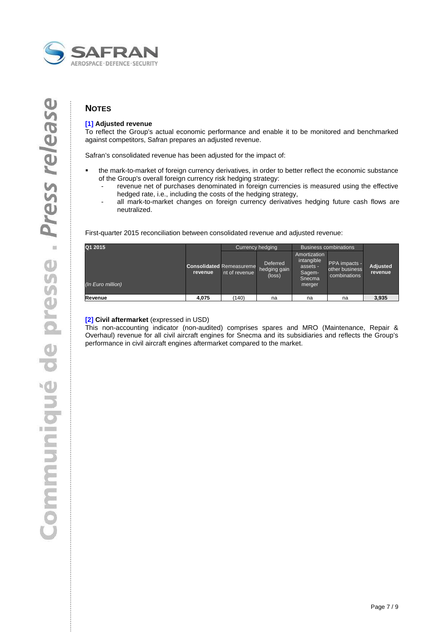

## **NOTES**

## **[1] Adjusted revenue**

To reflect the Group's actual economic performance and enable it to be monitored and benchmarked against competitors, Safran prepares an adjusted revenue.

Safran's consolidated revenue has been adjusted for the impact of:

- the mark-to-market of foreign currency derivatives, in order to better reflect the economic substance of the Group's overall foreign currency risk hedging strategy:
	- revenue net of purchases denominated in foreign currencies is measured using the effective hedged rate, i.e., including the costs of the hedging strategy,
	- all mark-to-market changes on foreign currency derivatives hedging future cash flows are neutralized.

First-quarter 2015 reconciliation between consolidated revenue and adjusted revenue:

| Q1 2015           |         | Currency hedging                                 |                                    |                                                                      | <b>Business combinations</b>                    |                            |
|-------------------|---------|--------------------------------------------------|------------------------------------|----------------------------------------------------------------------|-------------------------------------------------|----------------------------|
| (In Euro million) | revenue | <b>Consolidated Remeasureme</b><br>nt of revenue | Deferred<br>hedging gain<br>(loss) | Amortization<br>intangible<br>assets -<br>Sagem-<br>Snecma<br>merger | PPA impacts -<br>other business<br>combinations | <b>Adjusted</b><br>revenue |
|                   |         |                                                  |                                    |                                                                      |                                                 |                            |
| Revenue           | 4.075   | (140)                                            | na                                 | na                                                                   | na                                              | 3,935                      |

#### **[2] Civil aftermarket** (expressed in USD)

This non-accounting indicator (non-audited) comprises spares and MRO (Maintenance, Repair & Overhaul) revenue for all civil aircraft engines for Snecma and its subsidiaries and reflects the Group's performance in civil aircraft engines aftermarket compared to the market.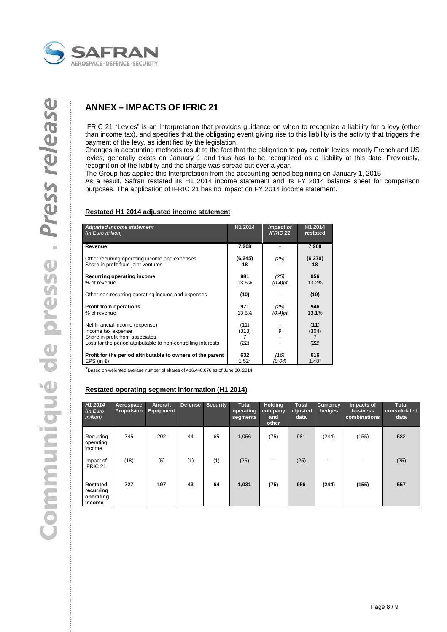

## **ANNEX – IMPACTS OF IFRIC 21**

IFRIC 21 "Levies" is an Interpretation that provides guidance on when to recognize a liability for a levy (other than income tax), and specifies that the obligating event giving rise to this liability is the activity that triggers the payment of the levy, as identified by the legislation.

Changes in accounting methods result to the fact that the obligation to pay certain levies, mostly French and US levies, generally exists on January 1 and thus has to be recognized as a liability at this date. Previously, recognition of the liability and the charge was spread out over a year.

The Group has applied this Interpretation from the accounting period beginning on January 1, 2015.

As a result, Safran restated its H1 2014 income statement and its FY 2014 balance sheet for comparison purposes. The application of IFRIC 21 has no impact on FY 2014 income statement.

#### **Restated H1 2014 adjusted income statement**

| <b>Adjusted income statement</b>                                                                                                                         | H1 2014                    | Impact of       | H1 2014               |
|----------------------------------------------------------------------------------------------------------------------------------------------------------|----------------------------|-----------------|-----------------------|
| (In Euro million)                                                                                                                                        |                            | <b>IFRIC 21</b> | restated              |
| Revenue                                                                                                                                                  | 7,208                      |                 | 7,208                 |
| Other recurring operating income and expenses                                                                                                            | (6, 245)                   | (25)            | (6,270)               |
| Share in profit from joint ventures                                                                                                                      | 18                         |                 | 18                    |
| Recurring operating income                                                                                                                               | 981                        | (25)            | 956                   |
| % of revenue                                                                                                                                             | 13.6%                      | $(0.4)$ pt      | 13.2%                 |
| Other non-recurring operating income and expenses                                                                                                        | (10)                       |                 | (10)                  |
| <b>Profit from operations</b>                                                                                                                            | 971                        | (25)            | 946                   |
| % of revenue                                                                                                                                             | 13.5%                      | $(0.4)$ pt      | 13.1%                 |
| Net financial income (expense)<br>Income tax expense<br>Share in profit from associates<br>Loss for the period attributable to non-controlling interests | (11)<br>(313)<br>7<br>(22) | 9               | (11)<br>(304)<br>(22) |
| Profit for the period attributable to owners of the parent                                                                                               | 632                        | (16)            | 616                   |
| EPS (in €)                                                                                                                                               | $1.52*$                    | (0.04)          | $1.48*$               |

\*Based on weighted average number of shares of 416,440,876 as of June 30, 2014

#### **Restated operating segment information (H1 2014)**

| H <sub>1</sub> 2014<br>$\sqrt{ln E}$ uro<br>million) | Aerospace<br><b>Propulsion</b> | Aircraft<br>Equipment | <b>Defense</b> | Security | <b>Total</b><br>operating<br>segments | <b>Holding</b><br>company<br>and<br>other | <b>Total</b><br>adjusted<br>data | <b>Currency</b><br>hedges | Impacts of<br>business<br>combinations | <b>Total</b><br>consolidated<br>data |
|------------------------------------------------------|--------------------------------|-----------------------|----------------|----------|---------------------------------------|-------------------------------------------|----------------------------------|---------------------------|----------------------------------------|--------------------------------------|
| Recurring<br>operating<br>income                     | 745                            | 202                   | 44             | 65       | 1,056                                 | (75)                                      | 981                              | (244)                     | (155)                                  | 582                                  |
| Impact of<br>IFRIC 21                                | (18)                           | (5)                   | (1)            | (1)      | (25)                                  | $\blacksquare$                            | (25)                             | ٠                         |                                        | (25)                                 |
| Restated<br>recurring<br>operating<br>income         | 727                            | 197                   | 43             | 64       | 1,031                                 | (75)                                      | 956                              | (244)                     | (155)                                  | 557                                  |